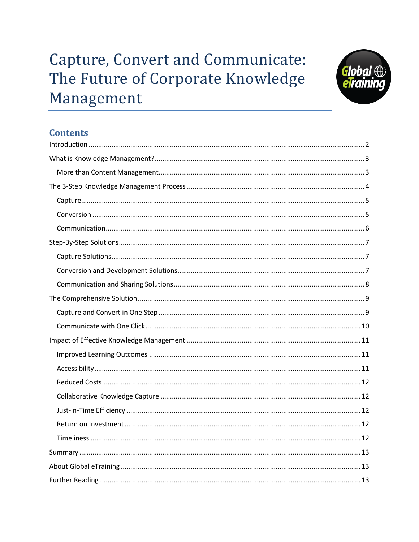# **Capture, Convert and Communicate:** The Future of Corporate Knowledge Management



# **Contents**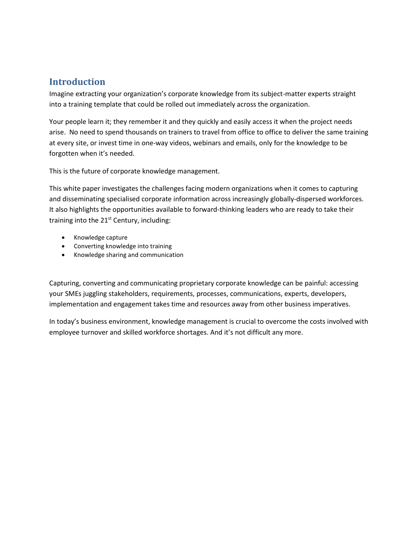## <span id="page-1-0"></span>**Introduction**

Imagine extracting your organization's corporate knowledge from its subject-matter experts straight into a training template that could be rolled out immediately across the organization.

Your people learn it; they remember it and they quickly and easily access it when the project needs arise. No need to spend thousands on trainers to travel from office to office to deliver the same training at every site, or invest time in one-way videos, webinars and emails, only for the knowledge to be forgotten when it's needed.

This is the future of corporate knowledge management.

This white paper investigates the challenges facing modern organizations when it comes to capturing and disseminating specialised corporate information across increasingly globally-dispersed workforces. It also highlights the opportunities available to forward-thinking leaders who are ready to take their training into the 21<sup>st</sup> Century, including:

- Knowledge capture
- Converting knowledge into training
- Knowledge sharing and communication

Capturing, converting and communicating proprietary corporate knowledge can be painful: accessing your SMEs juggling stakeholders, requirements, processes, communications, experts, developers, implementation and engagement takes time and resources away from other business imperatives.

In today's business environment, knowledge management is crucial to overcome the costs involved with employee turnover and skilled workforce shortages. And it's not difficult any more.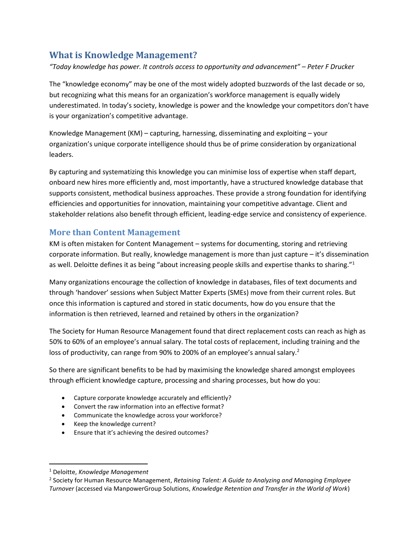## <span id="page-2-0"></span>**What is Knowledge Management?**

*"Today knowledge has power. It controls access to opportunity and advancement" – Peter F Drucker*

The "knowledge economy" may be one of the most widely adopted buzzwords of the last decade or so, but recognizing what this means for an organization's workforce management is equally widely underestimated. In today's society, knowledge is power and the knowledge your competitors don't have is your organization's competitive advantage.

Knowledge Management  $(KM)$  – capturing, harnessing, disseminating and exploiting – your organization's unique corporate intelligence should thus be of prime consideration by organizational leaders.

By capturing and systematizing this knowledge you can minimise loss of expertise when staff depart, onboard new hires more efficiently and, most importantly, have a structured knowledge database that supports consistent, methodical business approaches. These provide a strong foundation for identifying efficiencies and opportunities for innovation, maintaining your competitive advantage. Client and stakeholder relations also benefit through efficient, leading-edge service and consistency of experience.

#### <span id="page-2-1"></span>**More than Content Management**

KM is often mistaken for Content Management – systems for documenting, storing and retrieving corporate information. But really, knowledge management is more than just capture – it's dissemination as well. Deloitte defines it as being "about increasing people skills and expertise thanks to sharing."<sup>1</sup>

Many organizations encourage the collection of knowledge in databases, files of text documents and through 'handover' sessions when Subject Matter Experts (SMEs) move from their current roles. But once this information is captured and stored in static documents, how do you ensure that the information is then retrieved, learned and retained by others in the organization?

The Society for Human Resource Management found that direct replacement costs can reach as high as 50% to 60% of an employee's annual salary. The total costs of replacement, including training and the loss of productivity, can range from 90% to 200% of an employee's annual salary.<sup>2</sup>

So there are significant benefits to be had by maximising the knowledge shared amongst employees through efficient knowledge capture, processing and sharing processes, but how do you:

- Capture corporate knowledge accurately and efficiently?
- Convert the raw information into an effective format?
- Communicate the knowledge across your workforce?
- Keep the knowledge current?
- Ensure that it's achieving the desired outcomes?

 $\overline{\phantom{a}}$ 

<sup>1</sup> Deloitte, *Knowledge Management*

<sup>2</sup> Society for Human Resource Management, *Retaining Talent: A Guide to Analyzing and Managing Employee Turnover* (accessed via ManpowerGroup Solutions, *Knowledge Retention and Transfer in the World of Work*)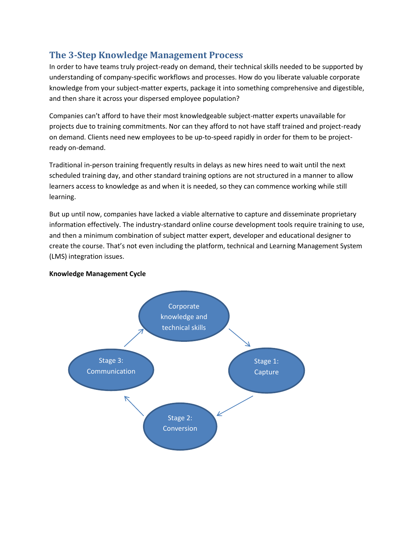## <span id="page-3-0"></span>**The 3-Step Knowledge Management Process**

In order to have teams truly project-ready on demand, their technical skills needed to be supported by understanding of company-specific workflows and processes. How do you liberate valuable corporate knowledge from your subject-matter experts, package it into something comprehensive and digestible, and then share it across your dispersed employee population?

Companies can't afford to have their most knowledgeable subject-matter experts unavailable for projects due to training commitments. Nor can they afford to not have staff trained and project-ready on demand. Clients need new employees to be up-to-speed rapidly in order for them to be projectready on-demand.

Traditional in-person training frequently results in delays as new hires need to wait until the next scheduled training day, and other standard training options are not structured in a manner to allow learners access to knowledge as and when it is needed, so they can commence working while still learning.

But up until now, companies have lacked a viable alternative to capture and disseminate proprietary information effectively. The industry-standard online course development tools require training to use, and then a minimum combination of subject matter expert, developer and educational designer to create the course. That's not even including the platform, technical and Learning Management System (LMS) integration issues.

#### **Knowledge Management Cycle**

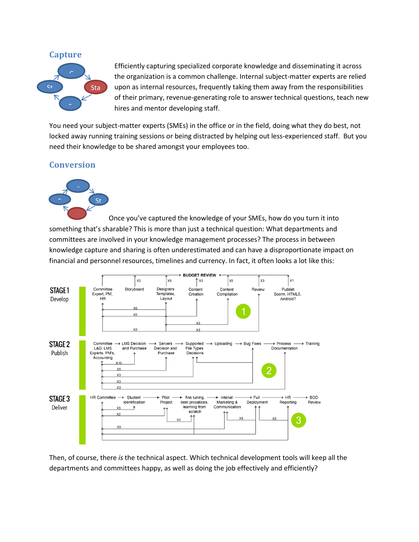#### <span id="page-4-0"></span>**Capture**



Efficiently capturing specialized corporate knowledge and disseminating it across the organization is a common challenge. Internal subject-matter experts are relied upon as internal resources, frequently taking them away from the responsibilities of their primary, revenue-generating role to answer technical questions, teach new hires and mentor developing staff.

You need your subject-matter experts (SMEs) in the office or in the field, doing what they do best, not locked away running training sessions or being distracted by helping out less-experienced staff. But you need their knowledge to be shared amongst your employees too.

#### <span id="page-4-1"></span>**Conversion**



Once you've captured the knowledge of your SMEs, how do you turn it into something that's sharable? This is more than just a technical question: What departments and committees are involved in your knowledge management processes? The process in between knowledge capture and sharing is often underestimated and can have a disproportionate impact on financial and personnel resources, timelines and currency. In fact, it often looks a lot like this: S



Then, of course, there *is* the technical aspect. Which technical development tools will keep all the departments and committees happy, as well as doing the job effectively and efficiently?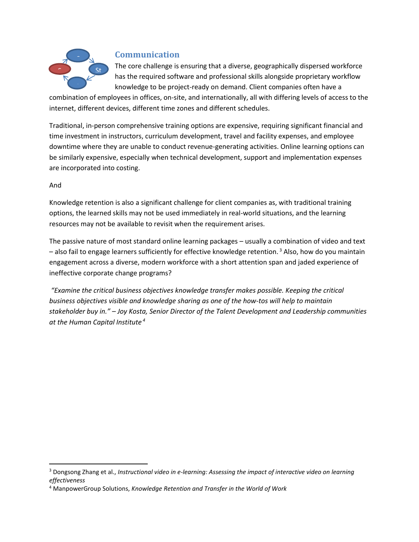

#### <span id="page-5-0"></span>**Communication**

The core challenge is ensuring that a diverse, geographically dispersed workforce has the required software and professional skills alongside proprietary workflow knowledge to be project-ready on demand. Client companies often have a

combination of employees in offices, on-site, and internationally, all with differing levels of access to the internet, different devices, different time zones and different schedules.

Traditional, in-person comprehensive training options are expensive, requiring significant financial and time investment in instructors, curriculum development, travel and facility expenses, and employee downtime where they are unable to conduct revenue-generating activities. Online learning options can be similarly expensive, especially when technical development, support and implementation expenses are incorporated into costing.

#### And

 $\overline{\phantom{a}}$ 

Knowledge retention is also a significant challenge for client companies as, with traditional training options, the learned skills may not be used immediately in real-world situations, and the learning resources may not be available to revisit when the requirement arises.

The passive nature of most standard online learning packages – usually a combination of video and text  $-$  also fail to engage learners sufficiently for effective knowledge retention.<sup>3</sup> Also, how do you maintain engagement across a diverse, modern workforce with a short attention span and jaded experience of ineffective corporate change programs?

*"Examine the critical business objectives knowledge transfer makes possible. Keeping the critical business objectives visible and knowledge sharing as one of the how-tos will help to maintain stakeholder buy in." – Joy Kosta, Senior Director of the Talent Development and Leadership communities at the Human Capital Institute <sup>4</sup>*

<sup>3</sup> Dongsong Zhang et al., *Instructional video in e-learning: Assessing the impact of interactive video on learning effectiveness*

<sup>4</sup> ManpowerGroup Solutions, *Knowledge Retention and Transfer in the World of Work*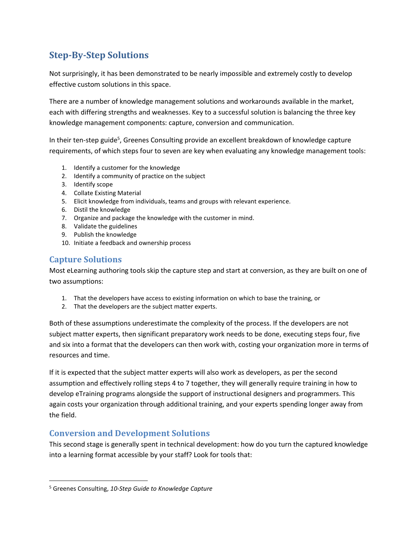# <span id="page-6-0"></span>**Step-By-Step Solutions**

Not surprisingly, it has been demonstrated to be nearly impossible and extremely costly to develop effective custom solutions in this space.

There are a number of knowledge management solutions and workarounds available in the market, each with differing strengths and weaknesses. Key to a successful solution is balancing the three key knowledge management components: capture, conversion and communication.

In their ten-step guide<sup>5</sup>, Greenes Consulting provide an excellent breakdown of knowledge capture requirements, of which steps four to seven are key when evaluating any knowledge management tools:

- 1. Identify a customer for the knowledge
- 2. Identify a community of practice on the subject
- 3. Identify scope
- 4. Collate Existing Material
- 5. Elicit knowledge from individuals, teams and groups with relevant experience.
- 6. Distil the knowledge
- 7. Organize and package the knowledge with the customer in mind.
- 8. Validate the guidelines
- 9. Publish the knowledge
- 10. Initiate a feedback and ownership process

#### <span id="page-6-1"></span>**Capture Solutions**

 $\overline{\phantom{a}}$ 

Most eLearning authoring tools skip the capture step and start at conversion, as they are built on one of two assumptions:

- 1. That the developers have access to existing information on which to base the training, or
- 2. That the developers are the subject matter experts.

Both of these assumptions underestimate the complexity of the process. If the developers are not subject matter experts, then significant preparatory work needs to be done, executing steps four, five and six into a format that the developers can then work with, costing your organization more in terms of resources and time.

If it is expected that the subject matter experts will also work as developers, as per the second assumption and effectively rolling steps 4 to 7 together, they will generally require training in how to develop eTraining programs alongside the support of instructional designers and programmers. This again costs your organization through additional training, and your experts spending longer away from the field.

#### <span id="page-6-2"></span>**Conversion and Development Solutions**

This second stage is generally spent in technical development: how do you turn the captured knowledge into a learning format accessible by your staff? Look for tools that:

<sup>5</sup> Greenes Consulting, *10-Step Guide to Knowledge Capture*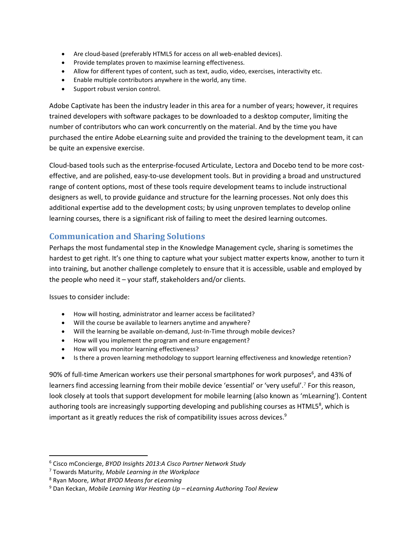- Are cloud-based (preferably HTML5 for access on all web-enabled devices).
- Provide templates proven to maximise learning effectiveness.
- Allow for different types of content, such as text, audio, video, exercises, interactivity etc.
- Enable multiple contributors anywhere in the world, any time.
- Support robust version control.

Adobe Captivate has been the industry leader in this area for a number of years; however, it requires trained developers with software packages to be downloaded to a desktop computer, limiting the number of contributors who can work concurrently on the material. And by the time you have purchased the entire Adobe eLearning suite and provided the training to the development team, it can be quite an expensive exercise.

Cloud-based tools such as the enterprise-focused Articulate, Lectora and Docebo tend to be more costeffective, and are polished, easy-to-use development tools. But in providing a broad and unstructured range of content options, most of these tools require development teams to include instructional designers as well, to provide guidance and structure for the learning processes. Not only does this additional expertise add to the development costs; by using unproven templates to develop online learning courses, there is a significant risk of failing to meet the desired learning outcomes.

#### <span id="page-7-0"></span>**Communication and Sharing Solutions**

Perhaps the most fundamental step in the Knowledge Management cycle, sharing is sometimes the hardest to get right. It's one thing to capture what your subject matter experts know, another to turn it into training, but another challenge completely to ensure that it is accessible, usable and employed by the people who need it  $-$  your staff, stakeholders and/or clients.

Issues to consider include:

 $\overline{a}$ 

- How will hosting, administrator and learner access be facilitated?
- Will the course be available to learners anytime and anywhere?
- Will the learning be available on-demand, Just-In-Time through mobile devices?
- How will you implement the program and ensure engagement?
- How will you monitor learning effectiveness?
- Is there a proven learning methodology to support learning effectiveness and knowledge retention?

90% of full-time American workers use their personal smartphones for work purposes<sup>6</sup>, and 43% of learners find accessing learning from their mobile device 'essential' or 'very useful'.<sup>7</sup> For this reason, look closely at tools that support development for mobile learning (also known as 'mLearning'). Content authoring tools are increasingly supporting developing and publishing courses as HTML5<sup>8</sup>, which is important as it greatly reduces the risk of compatibility issues across devices. $9$ 

<sup>6</sup> Cisco mConcierge, *BYOD Insights 2013:A Cisco Partner Network Study*

<sup>7</sup> Towards Maturity, *Mobile Learning in the Workplace*

<sup>8</sup> Ryan Moore, *What BYOD Means for eLearning*

<sup>9</sup> Dan Keckan, *Mobile Learning War Heating Up – eLearning Authoring Tool Review*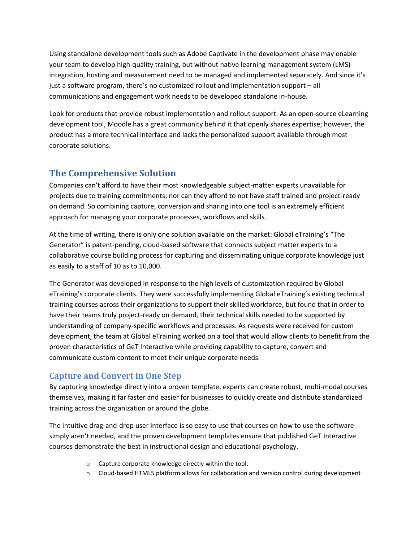Using standalone development tools such as Adobe Captivate in the development phase may enable your team to develop high-quality training, but without native learning management system (LMS) integration, hosting and measurement need to be managed and implemented separately. And since it's just a software program, there's no customized rollout and implementation support – all communications and engagement work needs to be developed standalone in-house.

Look for products that provide robust implementation and rollout support. As an open-source eLearning development tool, Moodle has a great community behind it that openly shares expertise; however, the product has a more technical interface and lacks the personalized support available through most corporate solutions.

# <span id="page-8-0"></span>**The Comprehensive Solution**

Companies can't afford to have their most knowledgeable subject-matter experts unavailable for projects due to training commitments; nor can they afford to not have staff trained and project-ready on demand. So combining capture, conversion and sharing into one tool is an extremely efficient approach for managing your corporate processes, workflows and skills.

At the time of writing, there is only one solution available on the market: Global eTraining's "The Generator" is patent-pending, cloud-based software that connects subject matter experts to a collaborative course building process for capturing and disseminating unique corporate knowledge just as easily to a staff of 10 as to 10,000.

The Generator was developed in response to the high levels of customization required by Global eTraining's corporate clients. They were successfully implementing Global eTraining's existing technical training courses across their organizations to support their skilled workforce, but found that in order to have their teams truly project-ready on demand, their technical skills needed to be supported by understanding of company-specific workflows and processes. As requests were received for custom development, the team at Global eTraining worked on a tool that would allow clients to benefit from the proven characteristics of GeT Interactive while providing capability to capture, convert and communicate custom content to meet their unique corporate needs.

## <span id="page-8-1"></span>**Capture and Convert in One Step**

By capturing knowledge directly into a proven template, experts can create robust, multi-modal courses themselves, making it far faster and easier for businesses to quickly create and distribute standardized training across the organization or around the globe.

The intuitive drag-and-drop user interface is so easy to use that courses on how to use the software simply aren't needed, and the proven development templates ensure that published GeT Interactive courses demonstrate the best in instructional design and educational psychology.

- o Capture corporate knowledge directly within the tool.
- o Cloud-based HTML5 platform allows for collaboration and version control during development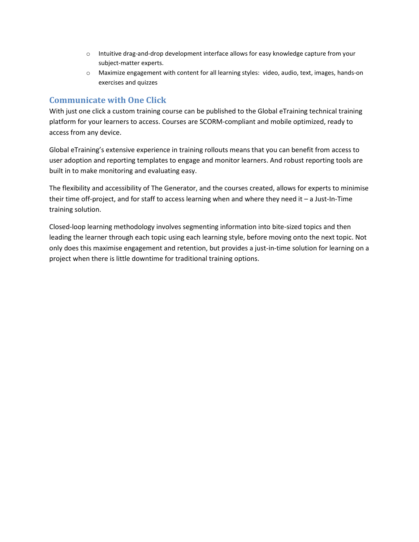- o Intuitive drag-and-drop development interface allows for easy knowledge capture from your subject-matter experts.
- o Maximize engagement with content for all learning styles: video, audio, text, images, hands-on exercises and quizzes

#### <span id="page-9-0"></span>**Communicate with One Click**

With just one click a custom training course can be published to the Global eTraining technical training platform for your learners to access. Courses are SCORM-compliant and mobile optimized, ready to access from any device.

Global eTraining's extensive experience in training rollouts means that you can benefit from access to user adoption and reporting templates to engage and monitor learners. And robust reporting tools are built in to make monitoring and evaluating easy.

The flexibility and accessibility of The Generator, and the courses created, allows for experts to minimise their time off-project, and for staff to access learning when and where they need it – a Just-In-Time training solution.

Closed-loop learning methodology involves segmenting information into bite-sized topics and then leading the learner through each topic using each learning style, before moving onto the next topic. Not only does this maximise engagement and retention, but provides a just-in-time solution for learning on a project when there is little downtime for traditional training options.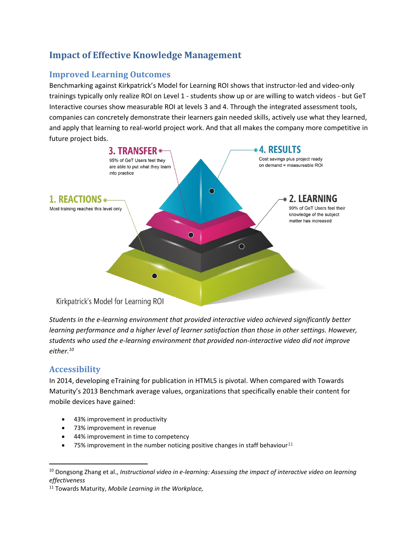# <span id="page-10-0"></span>**Impact of Effective Knowledge Management**

#### <span id="page-10-1"></span>**Improved Learning Outcomes**

Benchmarking against Kirkpatrick's Model for Learning ROI shows that instructor-led and video-only trainings typically only realize ROI on Level 1 - students show up or are willing to watch videos - but GeT Interactive courses show measurable ROI at levels 3 and 4. Through the integrated assessment tools, companies can concretely demonstrate their learners gain needed skills, actively use what they learned, and apply that learning to real-world project work. And that all makes the company more competitive in future project bids.



*Students in the e-learning environment that provided interactive video achieved significantly better learning performance and a higher level of learner satisfaction than those in other settings. However, students who used the e-learning environment that provided non-interactive video did not improve either.<sup>10</sup>*

#### <span id="page-10-2"></span>**Accessibility**

 $\overline{\phantom{a}}$ 

In 2014, developing eTraining for publication in HTML5 is pivotal. When compared with Towards Maturity's 2013 Benchmark average values, organizations that specifically enable their content for mobile devices have gained:

- 43% improvement in productivity
- 73% improvement in revenue
- 44% improvement in time to competency
- 75% improvement in the number noticing positive changes in staff behaviour<sup>11</sup>

<sup>11</sup> Towards Maturity, *Mobile Learning in the Workplace,*

<sup>10</sup> Dongsong Zhang et al., *Instructional video in e-learning: Assessing the impact of interactive video on learning effectiveness*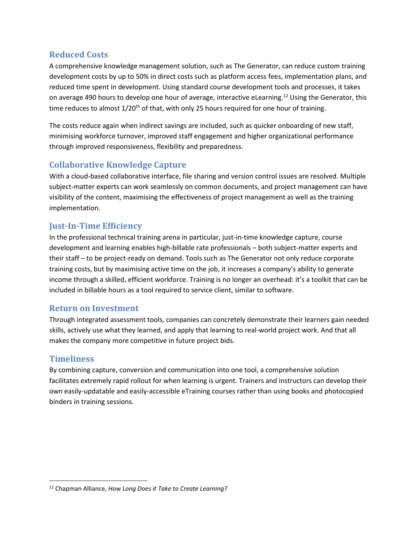#### <span id="page-11-0"></span>**Reduced Costs**

A comprehensive knowledge management solution, such as The Generator, can reduce custom training development costs by up to 50% in direct costs such as platform access fees, implementation plans, and reduced time spent in development. Using standard course development tools and processes, it takes on average 490 hours to develop one hour of average, interactive eLearning.<sup>12</sup> Using the Generator, this time reduces to almost  $1/20<sup>th</sup>$  of that, with only 25 hours required for one hour of training.

The costs reduce again when indirect savings are included, such as quicker onboarding of new staff, minimising workforce turnover, improved staff engagement and higher organizational performance through improved responsiveness, flexibility and preparedness.

## <span id="page-11-1"></span>**Collaborative Knowledge Capture**

With a cloud-based collaborative interface, file sharing and version control issues are resolved. Multiple subject-matter experts can work seamlessly on common documents, and project management can have visibility of the content, maximising the effectiveness of project management as well as the training implementation.

#### <span id="page-11-2"></span>**Just-In-Time Efficiency**

In the professional technical training arena in particular, just-in-time knowledge capture, course development and learning enables high-billable rate professionals – both subject-matter experts and their staff – to be project-ready on demand. Tools such as The Generator not only reduce corporate training costs, but by maximising active time on the job, it increases a company's ability to generate income through a skilled, efficient workforce. Training is no longer an overhead: it's a toolkit that can be included in billable hours as a tool required to service client, similar to software.

#### <span id="page-11-3"></span>**Return on Investment**

Through integrated assessment tools, companies can concretely demonstrate their learners gain needed skills, actively use what they learned, and apply that learning to real-world project work. And that all makes the company more competitive in future project bids.

## <span id="page-11-4"></span>**Timeliness**

 $\overline{\phantom{a}}$ 

By combining capture, conversion and communication into one tool, a comprehensive solution facilitates extremely rapid rollout for when learning is urgent. Trainers and instructors can develop their own easily-updatable and easily-accessible eTraining courses rather than using books and photocopied binders in training sessions.

<sup>12</sup> Chapman Alliance, *How Long Does it Take to Create Learning?*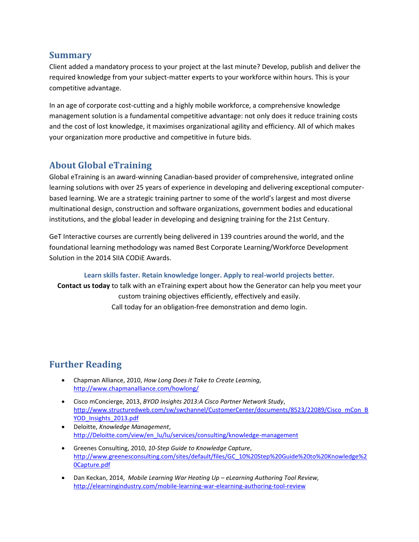#### <span id="page-12-0"></span>**Summary**

Client added a mandatory process to your project at the last minute? Develop, publish and deliver the required knowledge from your subject-matter experts to your workforce within hours. This is your competitive advantage.

In an age of corporate cost-cutting and a highly mobile workforce, a comprehensive knowledge management solution is a fundamental competitive advantage: not only does it reduce training costs and the cost of lost knowledge, it maximises organizational agility and efficiency. All of which makes your organization more productive and competitive in future bids.

# <span id="page-12-1"></span>**About Global eTraining**

Global eTraining is an award-winning Canadian-based provider of comprehensive, integrated online learning solutions with over 25 years of experience in developing and delivering exceptional computerbased learning. We are a strategic training partner to some of the world's largest and most diverse multinational design, construction and software organizations, government bodies and educational institutions, and the global leader in developing and designing training for the 21st Century.

GeT Interactive courses are currently being delivered in 139 countries around the world, and the foundational learning methodology was named Best Corporate Learning/Workforce Development Solution in the 2014 SIIA CODiE Awards.

#### **Learn skills faster. Retain knowledge longer. Apply to real-world projects better.**

<span id="page-12-2"></span>**Contact us today** to talk with an eTraining expert about how the Generator can help you meet your custom training objectives efficiently, effectively and easily. Call today for an obligation-free demonstration and demo login.

# **Further Reading**

- Chapman Alliance, 2010, *How Long Does it Take to Create Learning,*  <http://www.chapmanalliance.com/howlong/>
- Cisco mConcierge, 2013, *BYOD Insights 2013:A Cisco Partner Network Study*, [http://www.structuredweb.com/sw/swchannel/CustomerCenter/documents/8523/22089/Cisco\\_mCon\\_B](http://www.structuredweb.com/sw/swchannel/CustomerCenter/documents/8523/22089/Cisco_mCon_BYOD_Insights_2013.pdf) [YOD\\_Insights\\_2013.pdf](http://www.structuredweb.com/sw/swchannel/CustomerCenter/documents/8523/22089/Cisco_mCon_BYOD_Insights_2013.pdf)
- Deloitte, *Knowledge Management*, [http://Deloitte.com/view/en\\_lu/lu/services/consulting/knowledge-management](http://deloitte.com/view/en_lu/lu/services/consulting/knowledge-management)
- Greenes Consulting, 2010, *10-Step Guide to Knowledge Capture*, [http://www.greenesconsulting.com/sites/default/files/GC\\_10%20Step%20Guide%20to%20Knowledge%2](http://www.greenesconsulting.com/sites/default/files/GC_10%20Step%20Guide%20to%20Knowledge%20Capture.pdf) [0Capture.pdf](http://www.greenesconsulting.com/sites/default/files/GC_10%20Step%20Guide%20to%20Knowledge%20Capture.pdf)
- Dan Keckan, 2014, *Mobile Learning War Heating Up – eLearning Authoring Tool Review,*  <http://elearningindustry.com/mobile-learning-war-elearning-authoring-tool-review>